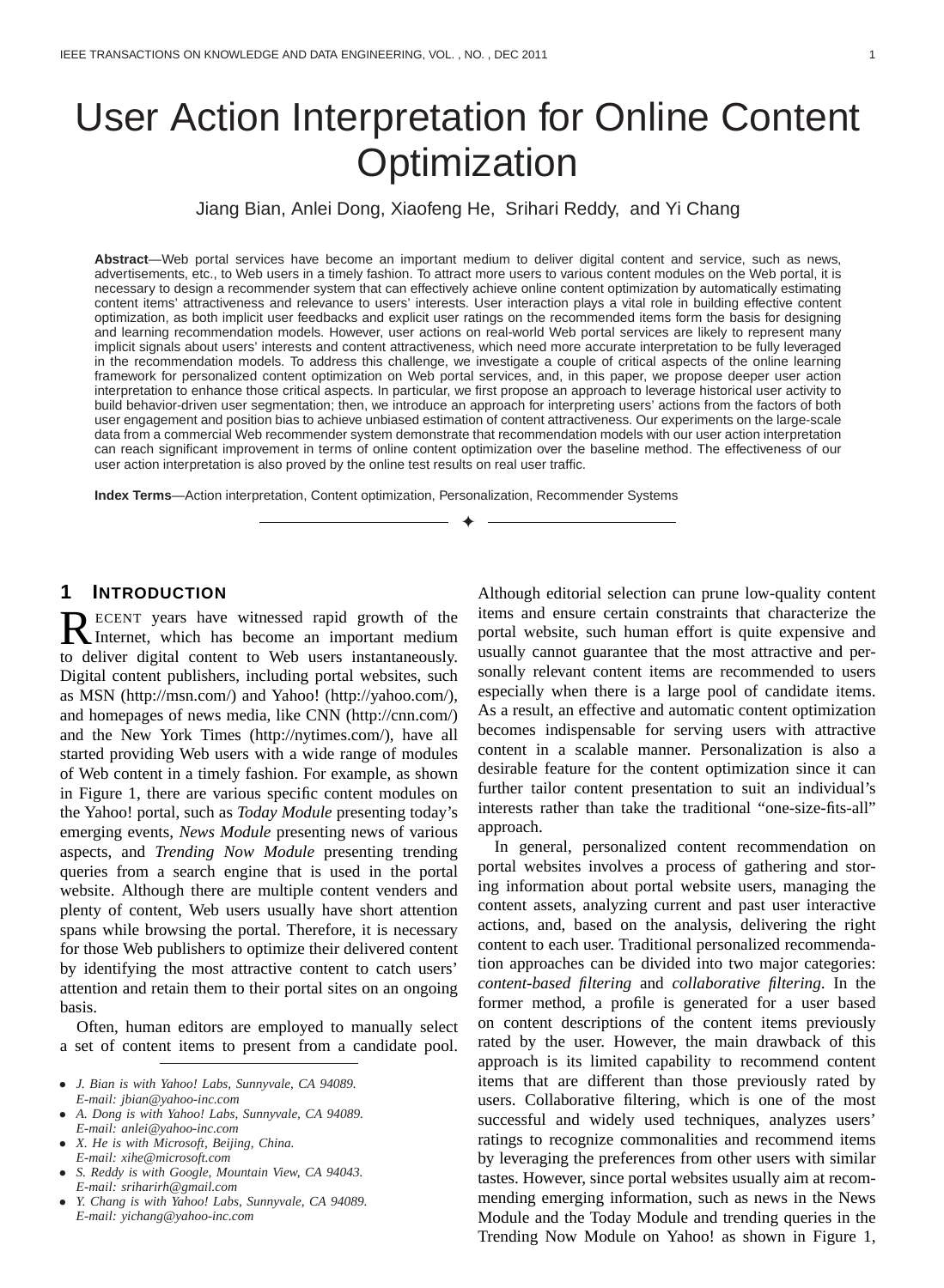# User Action Interpretation for Online Content **Optimization**

Jiang Bian, Anlei Dong, Xiaofeng He, Srihari Reddy, and Yi Chang

**Abstract**—Web portal services have become an important medium to deliver digital content and service, such as news, advertisements, etc., to Web users in a timely fashion. To attract more users to various content modules on the Web portal, it is necessary to design a recommender system that can effectively achieve online content optimization by automatically estimating content items' attractiveness and relevance to users' interests. User interaction plays a vital role in building effective content optimization, as both implicit user feedbacks and explicit user ratings on the recommended items form the basis for designing and learning recommendation models. However, user actions on real-world Web portal services are likely to represent many implicit signals about users' interests and content attractiveness, which need more accurate interpretation to be fully leveraged in the recommendation models. To address this challenge, we investigate a couple of critical aspects of the online learning framework for personalized content optimization on Web portal services, and, in this paper, we propose deeper user action interpretation to enhance those critical aspects. In particular, we first propose an approach to leverage historical user activity to build behavior-driven user segmentation; then, we introduce an approach for interpreting users' actions from the factors of both user engagement and position bias to achieve unbiased estimation of content attractiveness. Our experiments on the large-scale data from a commercial Web recommender system demonstrate that recommendation models with our user action interpretation can reach significant improvement in terms of online content optimization over the baseline method. The effectiveness of our user action interpretation is also proved by the online test results on real user traffic.

✦

**Index Terms**—Action interpretation, Content optimization, Personalization, Recommender Systems

# **1 INTRODUCTION**

RECENT years have witnessed rapid growth of the Internet, which has become an important medium ECENT years have witnessed rapid growth of the to deliver digital content to Web users instantaneously. Digital content publishers, including portal websites, such as MSN (http://msn.com/) and Yahoo! (http://yahoo.com/), and homepages of news media, like CNN (http://cnn.com/) and the New York Times (http://nytimes.com/), have all started providing Web users with a wide range of modules of Web content in a timely fashion. For example, as shown in Figure 1, there are various specific content modules on the Yahoo! portal, such as *Today Module* presenting today's emerging events, *News Module* presenting news of various aspects, and *Trending Now Module* presenting trending queries from a search engine that is used in the portal website. Although there are multiple content venders and plenty of content, Web users usually have short attention spans while browsing the portal. Therefore, it is necessary for those Web publishers to optimize their delivered content by identifying the most attractive content to catch users' attention and retain them to their portal sites on an ongoing basis.

Often, human editors are employed to manually select a set of content items to present from a candidate pool.

- *J. Bian is with Yahoo! Labs, Sunnyvale, CA 94089. E-mail: jbian@yahoo-inc.com*
- *A. Dong is with Yahoo! Labs, Sunnyvale, CA 94089. E-mail: anlei@yahoo-inc.com*
- *X. He is with Microsoft, Beijing, China.*
- *E-mail: xihe@microsoft.com* • *S. Reddy is with Google, Mountain View, CA 94043. E-mail: sriharirh@gmail.com*
- *Y. Chang is with Yahoo! Labs, Sunnyvale, CA 94089. E-mail: yichang@yahoo-inc.com*

Although editorial selection can prune low-quality content items and ensure certain constraints that characterize the portal website, such human effort is quite expensive and usually cannot guarantee that the most attractive and personally relevant content items are recommended to users especially when there is a large pool of candidate items. As a result, an effective and automatic content optimization becomes indispensable for serving users with attractive content in a scalable manner. Personalization is also a desirable feature for the content optimization since it can further tailor content presentation to suit an individual's interests rather than take the traditional "one-size-fits-all" approach.

In general, personalized content recommendation on portal websites involves a process of gathering and storing information about portal website users, managing the content assets, analyzing current and past user interactive actions, and, based on the analysis, delivering the right content to each user. Traditional personalized recommendation approaches can be divided into two major categories: *content-based filtering* and *collaborative filtering*. In the former method, a profile is generated for a user based on content descriptions of the content items previously rated by the user. However, the main drawback of this approach is its limited capability to recommend content items that are different than those previously rated by users. Collaborative filtering, which is one of the most successful and widely used techniques, analyzes users' ratings to recognize commonalities and recommend items by leveraging the preferences from other users with similar tastes. However, since portal websites usually aim at recommending emerging information, such as news in the News Module and the Today Module and trending queries in the Trending Now Module on Yahoo! as shown in Figure 1,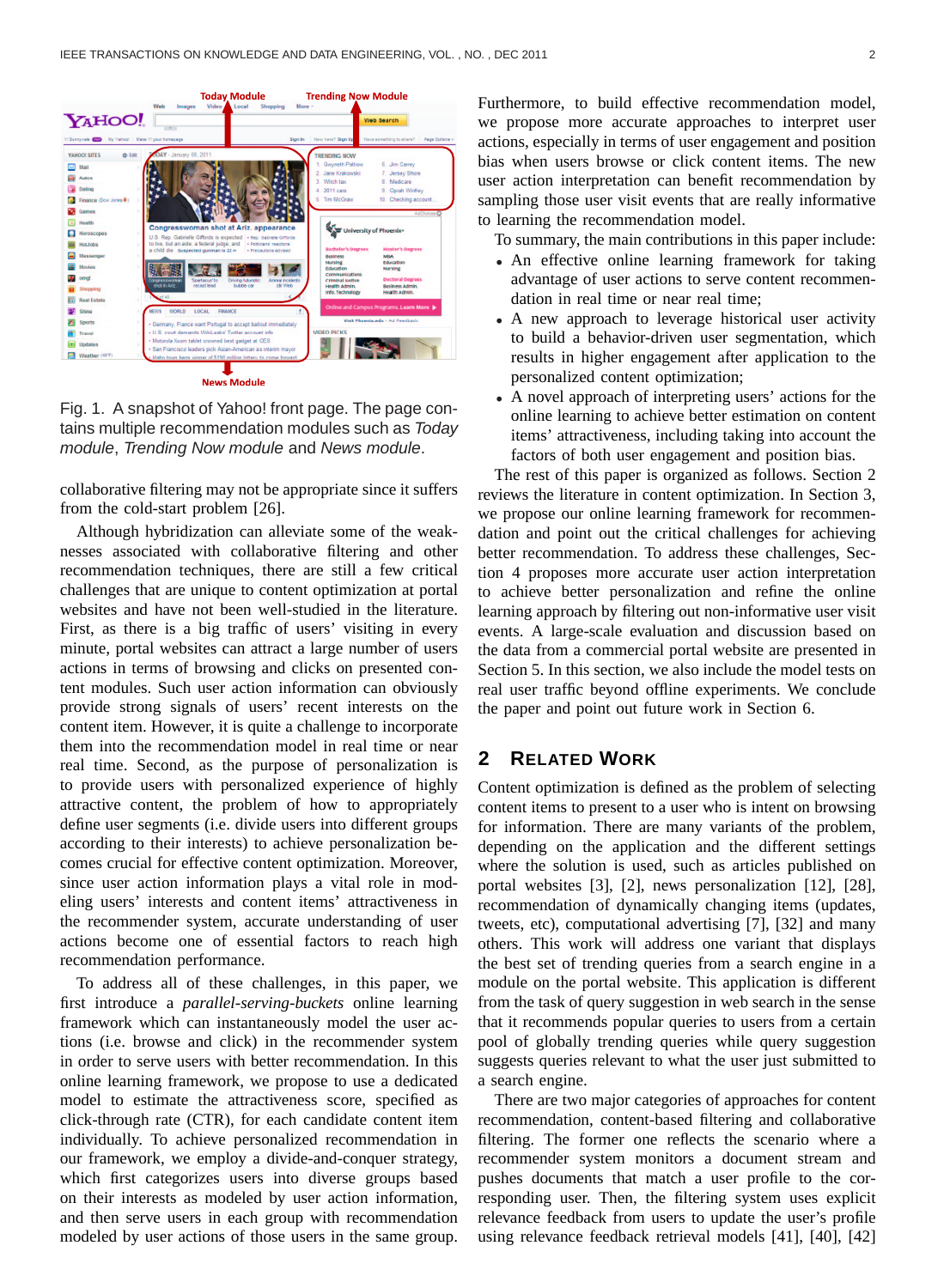

Fig. 1. A snapshot of Yahoo! front page. The page contains multiple recommendation modules such as Today module, Trending Now module and News module.

collaborative filtering may not be appropriate since it suffers from the cold-start problem [26].

Although hybridization can alleviate some of the weaknesses associated with collaborative filtering and other recommendation techniques, there are still a few critical challenges that are unique to content optimization at portal websites and have not been well-studied in the literature. First, as there is a big traffic of users' visiting in every minute, portal websites can attract a large number of users actions in terms of browsing and clicks on presented content modules. Such user action information can obviously provide strong signals of users' recent interests on the content item. However, it is quite a challenge to incorporate them into the recommendation model in real time or near real time. Second, as the purpose of personalization is to provide users with personalized experience of highly attractive content, the problem of how to appropriately define user segments (i.e. divide users into different groups according to their interests) to achieve personalization becomes crucial for effective content optimization. Moreover, since user action information plays a vital role in modeling users' interests and content items' attractiveness in the recommender system, accurate understanding of user actions become one of essential factors to reach high recommendation performance.

To address all of these challenges, in this paper, we first introduce a *parallel-serving-buckets* online learning framework which can instantaneously model the user actions (i.e. browse and click) in the recommender system in order to serve users with better recommendation. In this online learning framework, we propose to use a dedicated model to estimate the attractiveness score, specified as click-through rate (CTR), for each candidate content item individually. To achieve personalized recommendation in our framework, we employ a divide-and-conquer strategy, which first categorizes users into diverse groups based on their interests as modeled by user action information, and then serve users in each group with recommendation modeled by user actions of those users in the same group.

Furthermore, to build effective recommendation model, we propose more accurate approaches to interpret user actions, especially in terms of user engagement and position bias when users browse or click content items. The new user action interpretation can benefit recommendation by sampling those user visit events that are really informative to learning the recommendation model.

To summary, the main contributions in this paper include:

- An effective online learning framework for taking advantage of user actions to serve content recommendation in real time or near real time;
- A new approach to leverage historical user activity to build a behavior-driven user segmentation, which results in higher engagement after application to the personalized content optimization;
- A novel approach of interpreting users' actions for the online learning to achieve better estimation on content items' attractiveness, including taking into account the factors of both user engagement and position bias.

The rest of this paper is organized as follows. Section 2 reviews the literature in content optimization. In Section 3, we propose our online learning framework for recommendation and point out the critical challenges for achieving better recommendation. To address these challenges, Section 4 proposes more accurate user action interpretation to achieve better personalization and refine the online learning approach by filtering out non-informative user visit events. A large-scale evaluation and discussion based on the data from a commercial portal website are presented in Section 5. In this section, we also include the model tests on real user traffic beyond offline experiments. We conclude the paper and point out future work in Section 6.

# **2 RELATED WORK**

Content optimization is defined as the problem of selecting content items to present to a user who is intent on browsing for information. There are many variants of the problem, depending on the application and the different settings where the solution is used, such as articles published on portal websites [3], [2], news personalization [12], [28], recommendation of dynamically changing items (updates, tweets, etc), computational advertising [7], [32] and many others. This work will address one variant that displays the best set of trending queries from a search engine in a module on the portal website. This application is different from the task of query suggestion in web search in the sense that it recommends popular queries to users from a certain pool of globally trending queries while query suggestion suggests queries relevant to what the user just submitted to a search engine.

There are two major categories of approaches for content recommendation, content-based filtering and collaborative filtering. The former one reflects the scenario where a recommender system monitors a document stream and pushes documents that match a user profile to the corresponding user. Then, the filtering system uses explicit relevance feedback from users to update the user's profile using relevance feedback retrieval models [41], [40], [42]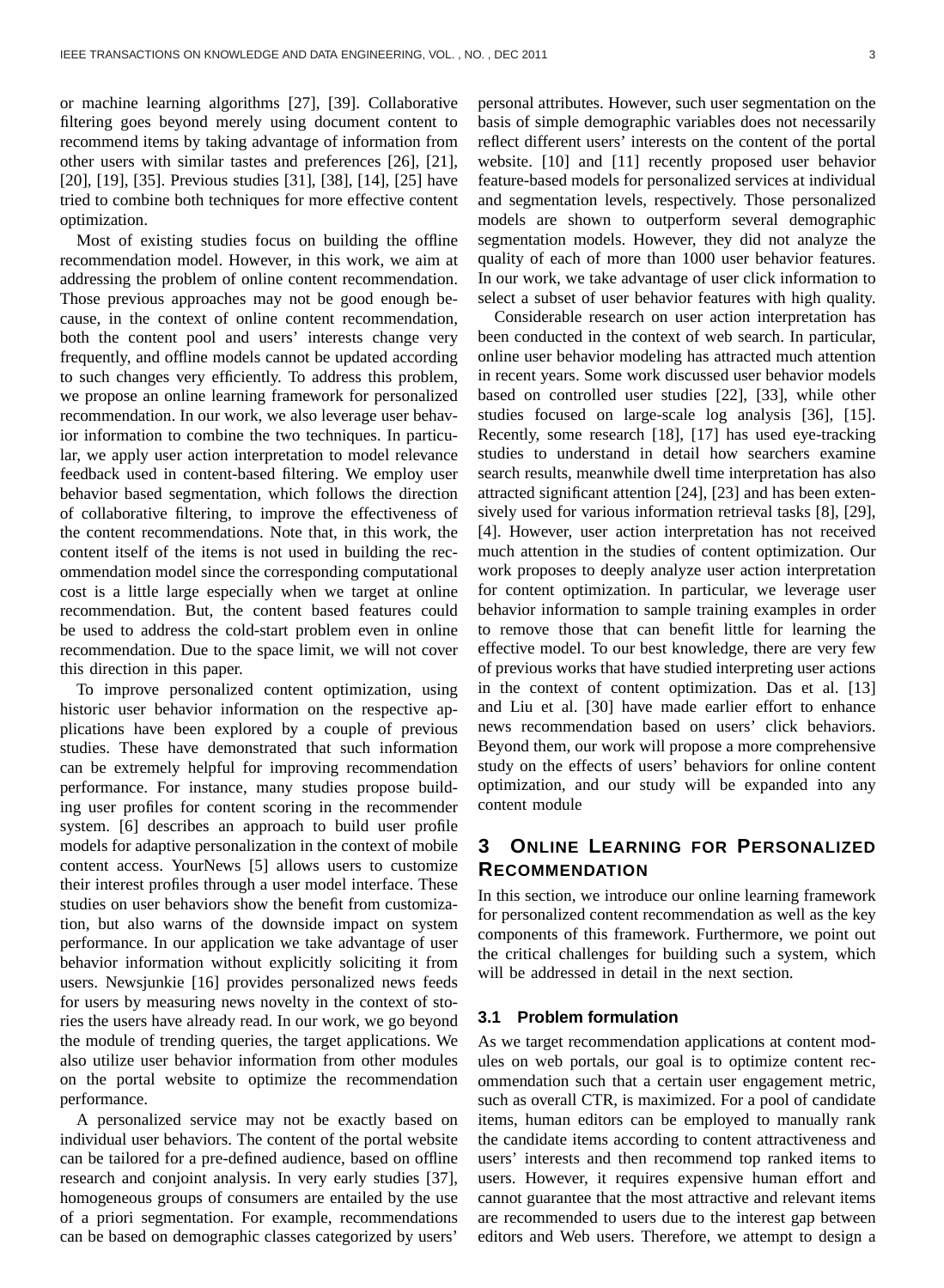or machine learning algorithms [27], [39]. Collaborative filtering goes beyond merely using document content to recommend items by taking advantage of information from other users with similar tastes and preferences [26], [21], [20], [19], [35]. Previous studies [31], [38], [14], [25] have tried to combine both techniques for more effective content optimization.

Most of existing studies focus on building the offline recommendation model. However, in this work, we aim at addressing the problem of online content recommendation. Those previous approaches may not be good enough because, in the context of online content recommendation, both the content pool and users' interests change very frequently, and offline models cannot be updated according to such changes very efficiently. To address this problem, we propose an online learning framework for personalized recommendation. In our work, we also leverage user behavior information to combine the two techniques. In particular, we apply user action interpretation to model relevance feedback used in content-based filtering. We employ user behavior based segmentation, which follows the direction of collaborative filtering, to improve the effectiveness of the content recommendations. Note that, in this work, the content itself of the items is not used in building the recommendation model since the corresponding computational cost is a little large especially when we target at online recommendation. But, the content based features could be used to address the cold-start problem even in online recommendation. Due to the space limit, we will not cover this direction in this paper.

To improve personalized content optimization, using historic user behavior information on the respective applications have been explored by a couple of previous studies. These have demonstrated that such information can be extremely helpful for improving recommendation performance. For instance, many studies propose building user profiles for content scoring in the recommender system. [6] describes an approach to build user profile models for adaptive personalization in the context of mobile content access. YourNews [5] allows users to customize their interest profiles through a user model interface. These studies on user behaviors show the benefit from customization, but also warns of the downside impact on system performance. In our application we take advantage of user behavior information without explicitly soliciting it from users. Newsjunkie [16] provides personalized news feeds for users by measuring news novelty in the context of stories the users have already read. In our work, we go beyond the module of trending queries, the target applications. We also utilize user behavior information from other modules on the portal website to optimize the recommendation performance.

A personalized service may not be exactly based on individual user behaviors. The content of the portal website can be tailored for a pre-defined audience, based on offline research and conjoint analysis. In very early studies [37], homogeneous groups of consumers are entailed by the use of a priori segmentation. For example, recommendations can be based on demographic classes categorized by users'

personal attributes. However, such user segmentation on the basis of simple demographic variables does not necessarily reflect different users' interests on the content of the portal website. [10] and [11] recently proposed user behavior feature-based models for personalized services at individual and segmentation levels, respectively. Those personalized models are shown to outperform several demographic segmentation models. However, they did not analyze the quality of each of more than 1000 user behavior features. In our work, we take advantage of user click information to select a subset of user behavior features with high quality.

Considerable research on user action interpretation has been conducted in the context of web search. In particular, online user behavior modeling has attracted much attention in recent years. Some work discussed user behavior models based on controlled user studies [22], [33], while other studies focused on large-scale log analysis [36], [15]. Recently, some research [18], [17] has used eye-tracking studies to understand in detail how searchers examine search results, meanwhile dwell time interpretation has also attracted significant attention [24], [23] and has been extensively used for various information retrieval tasks [8], [29], [4]. However, user action interpretation has not received much attention in the studies of content optimization. Our work proposes to deeply analyze user action interpretation for content optimization. In particular, we leverage user behavior information to sample training examples in order to remove those that can benefit little for learning the effective model. To our best knowledge, there are very few of previous works that have studied interpreting user actions in the context of content optimization. Das et al. [13] and Liu et al. [30] have made earlier effort to enhance news recommendation based on users' click behaviors. Beyond them, our work will propose a more comprehensive study on the effects of users' behaviors for online content optimization, and our study will be expanded into any content module

# **3 ONLINE LEARNING FOR PERSONALIZED RECOMMENDATION**

In this section, we introduce our online learning framework for personalized content recommendation as well as the key components of this framework. Furthermore, we point out the critical challenges for building such a system, which will be addressed in detail in the next section.

#### **3.1 Problem formulation**

As we target recommendation applications at content modules on web portals, our goal is to optimize content recommendation such that a certain user engagement metric, such as overall CTR, is maximized. For a pool of candidate items, human editors can be employed to manually rank the candidate items according to content attractiveness and users' interests and then recommend top ranked items to users. However, it requires expensive human effort and cannot guarantee that the most attractive and relevant items are recommended to users due to the interest gap between editors and Web users. Therefore, we attempt to design a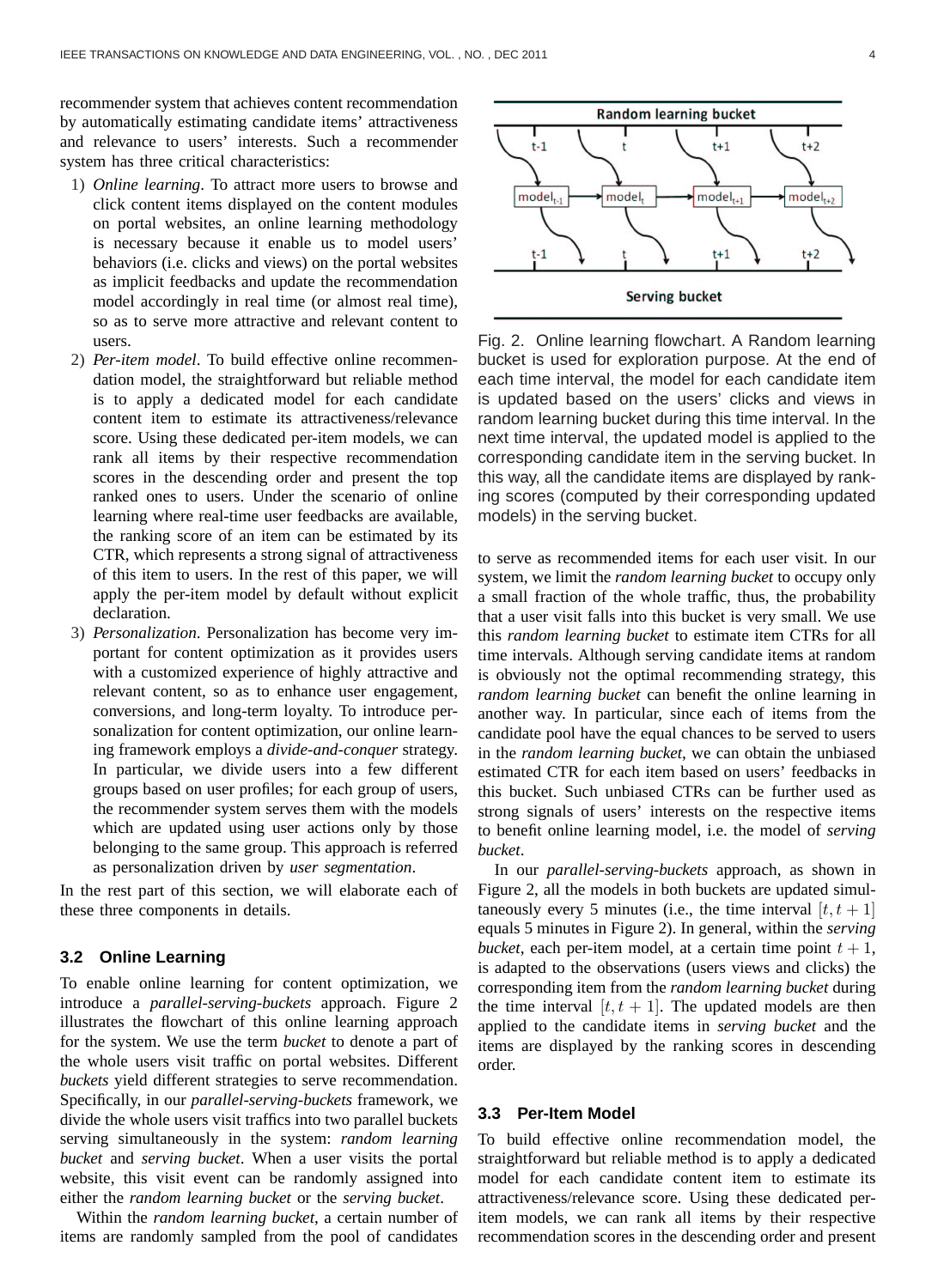recommender system that achieves content recommendation by automatically estimating candidate items' attractiveness and relevance to users' interests. Such a recommender system has three critical characteristics:

- 1) *Online learning*. To attract more users to browse and click content items displayed on the content modules on portal websites, an online learning methodology is necessary because it enable us to model users' behaviors (i.e. clicks and views) on the portal websites as implicit feedbacks and update the recommendation model accordingly in real time (or almost real time), so as to serve more attractive and relevant content to users.
- 2) *Per-item model*. To build effective online recommendation model, the straightforward but reliable method is to apply a dedicated model for each candidate content item to estimate its attractiveness/relevance score. Using these dedicated per-item models, we can rank all items by their respective recommendation scores in the descending order and present the top ranked ones to users. Under the scenario of online learning where real-time user feedbacks are available, the ranking score of an item can be estimated by its CTR, which represents a strong signal of attractiveness of this item to users. In the rest of this paper, we will apply the per-item model by default without explicit declaration.
- 3) *Personalization*. Personalization has become very important for content optimization as it provides users with a customized experience of highly attractive and relevant content, so as to enhance user engagement, conversions, and long-term loyalty. To introduce personalization for content optimization, our online learning framework employs a *divide-and-conquer* strategy. In particular, we divide users into a few different groups based on user profiles; for each group of users, the recommender system serves them with the models which are updated using user actions only by those belonging to the same group. This approach is referred as personalization driven by *user segmentation*.

In the rest part of this section, we will elaborate each of these three components in details.

### **3.2 Online Learning**

To enable online learning for content optimization, we introduce a *parallel-serving-buckets* approach. Figure 2 illustrates the flowchart of this online learning approach for the system. We use the term *bucket* to denote a part of the whole users visit traffic on portal websites. Different *buckets* yield different strategies to serve recommendation. Specifically, in our *parallel-serving-buckets* framework, we divide the whole users visit traffics into two parallel buckets serving simultaneously in the system: *random learning bucket* and *serving bucket*. When a user visits the portal website, this visit event can be randomly assigned into either the *random learning bucket* or the *serving bucket*.

Within the *random learning bucket*, a certain number of items are randomly sampled from the pool of candidates



Fig. 2. Online learning flowchart. A Random learning bucket is used for exploration purpose. At the end of each time interval, the model for each candidate item is updated based on the users' clicks and views in random learning bucket during this time interval. In the next time interval, the updated model is applied to the corresponding candidate item in the serving bucket. In this way, all the candidate items are displayed by ranking scores (computed by their corresponding updated models) in the serving bucket.

to serve as recommended items for each user visit. In our system, we limit the *random learning bucket* to occupy only a small fraction of the whole traffic, thus, the probability that a user visit falls into this bucket is very small. We use this *random learning bucket* to estimate item CTRs for all time intervals. Although serving candidate items at random is obviously not the optimal recommending strategy, this *random learning bucket* can benefit the online learning in another way. In particular, since each of items from the candidate pool have the equal chances to be served to users in the *random learning bucket*, we can obtain the unbiased estimated CTR for each item based on users' feedbacks in this bucket. Such unbiased CTRs can be further used as strong signals of users' interests on the respective items to benefit online learning model, i.e. the model of *serving bucket*.

In our *parallel-serving-buckets* approach, as shown in Figure 2, all the models in both buckets are updated simultaneously every 5 minutes (i.e., the time interval  $[t, t + 1]$ ) equals 5 minutes in Figure 2). In general, within the *serving bucket*, each per-item model, at a certain time point  $t + 1$ , is adapted to the observations (users views and clicks) the corresponding item from the *random learning bucket* during the time interval  $[t, t + 1]$ . The updated models are then applied to the candidate items in *serving bucket* and the items are displayed by the ranking scores in descending order.

## **3.3 Per-Item Model**

To build effective online recommendation model, the straightforward but reliable method is to apply a dedicated model for each candidate content item to estimate its attractiveness/relevance score. Using these dedicated peritem models, we can rank all items by their respective recommendation scores in the descending order and present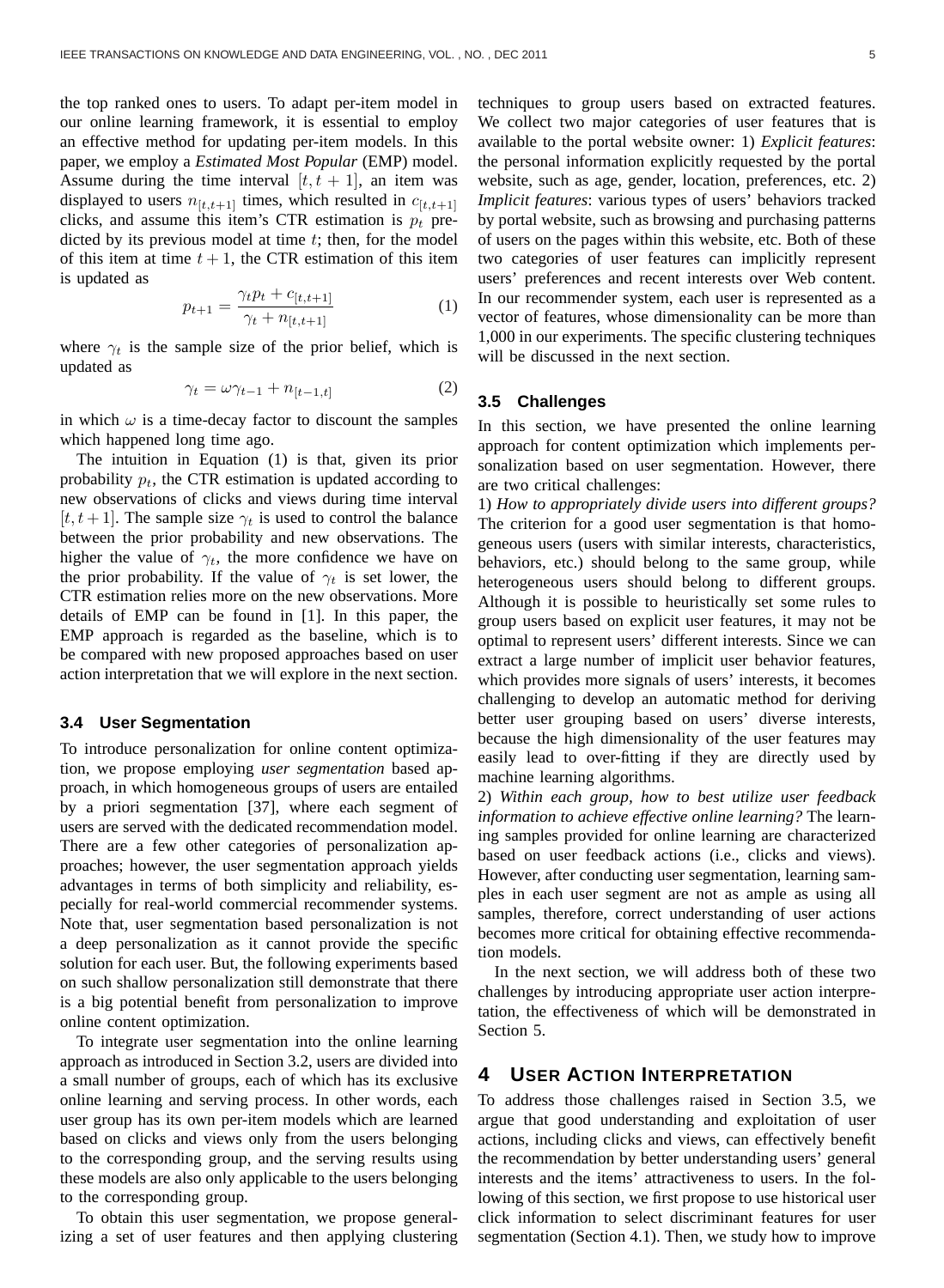the top ranked ones to users. To adapt per-item model in our online learning framework, it is essential to employ an effective method for updating per-item models. In this paper, we employ a *Estimated Most Popular* (EMP) model. Assume during the time interval  $[t, t + 1]$ , an item was displayed to users  $n_{[t,t+1]}$  times, which resulted in  $c_{[t,t+1]}$ clicks, and assume this item's CTR estimation is  $p_t$  predicted by its previous model at time  $t$ ; then, for the model of this item at time  $t + 1$ , the CTR estimation of this item is updated as

$$
p_{t+1} = \frac{\gamma_t p_t + c_{[t,t+1]}}{\gamma_t + n_{[t,t+1]}} \tag{1}
$$

where  $\gamma_t$  is the sample size of the prior belief, which is updated as

$$
\gamma_t = \omega \gamma_{t-1} + n_{[t-1,t]}
$$
 (2)

in which  $\omega$  is a time-decay factor to discount the samples which happened long time ago.

The intuition in Equation (1) is that, given its prior probability  $p_t$ , the CTR estimation is updated according to new observations of clicks and views during time interval [t, t + 1]. The sample size  $\gamma_t$  is used to control the balance between the prior probability and new observations. The higher the value of  $\gamma_t$ , the more confidence we have on the prior probability. If the value of  $\gamma_t$  is set lower, the CTR estimation relies more on the new observations. More details of EMP can be found in [1]. In this paper, the EMP approach is regarded as the baseline, which is to be compared with new proposed approaches based on user action interpretation that we will explore in the next section.

#### **3.4 User Segmentation**

To introduce personalization for online content optimization, we propose employing *user segmentation* based approach, in which homogeneous groups of users are entailed by a priori segmentation [37], where each segment of users are served with the dedicated recommendation model. There are a few other categories of personalization approaches; however, the user segmentation approach yields advantages in terms of both simplicity and reliability, especially for real-world commercial recommender systems. Note that, user segmentation based personalization is not a deep personalization as it cannot provide the specific solution for each user. But, the following experiments based on such shallow personalization still demonstrate that there is a big potential benefit from personalization to improve online content optimization.

To integrate user segmentation into the online learning approach as introduced in Section 3.2, users are divided into a small number of groups, each of which has its exclusive online learning and serving process. In other words, each user group has its own per-item models which are learned based on clicks and views only from the users belonging to the corresponding group, and the serving results using these models are also only applicable to the users belonging to the corresponding group.

To obtain this user segmentation, we propose generalizing a set of user features and then applying clustering techniques to group users based on extracted features. We collect two major categories of user features that is available to the portal website owner: 1) *Explicit features*: the personal information explicitly requested by the portal website, such as age, gender, location, preferences, etc. 2) *Implicit features*: various types of users' behaviors tracked by portal website, such as browsing and purchasing patterns of users on the pages within this website, etc. Both of these two categories of user features can implicitly represent users' preferences and recent interests over Web content. In our recommender system, each user is represented as a vector of features, whose dimensionality can be more than 1,000 in our experiments. The specific clustering techniques will be discussed in the next section.

## **3.5 Challenges**

In this section, we have presented the online learning approach for content optimization which implements personalization based on user segmentation. However, there are two critical challenges:

1) *How to appropriately divide users into different groups?* The criterion for a good user segmentation is that homogeneous users (users with similar interests, characteristics, behaviors, etc.) should belong to the same group, while heterogeneous users should belong to different groups. Although it is possible to heuristically set some rules to group users based on explicit user features, it may not be optimal to represent users' different interests. Since we can extract a large number of implicit user behavior features, which provides more signals of users' interests, it becomes challenging to develop an automatic method for deriving better user grouping based on users' diverse interests, because the high dimensionality of the user features may easily lead to over-fitting if they are directly used by machine learning algorithms.

2) *Within each group, how to best utilize user feedback information to achieve effective online learning?* The learning samples provided for online learning are characterized based on user feedback actions (i.e., clicks and views). However, after conducting user segmentation, learning samples in each user segment are not as ample as using all samples, therefore, correct understanding of user actions becomes more critical for obtaining effective recommendation models.

In the next section, we will address both of these two challenges by introducing appropriate user action interpretation, the effectiveness of which will be demonstrated in Section 5.

# **4 USER ACTION INTERPRETATION**

To address those challenges raised in Section 3.5, we argue that good understanding and exploitation of user actions, including clicks and views, can effectively benefit the recommendation by better understanding users' general interests and the items' attractiveness to users. In the following of this section, we first propose to use historical user click information to select discriminant features for user segmentation (Section 4.1). Then, we study how to improve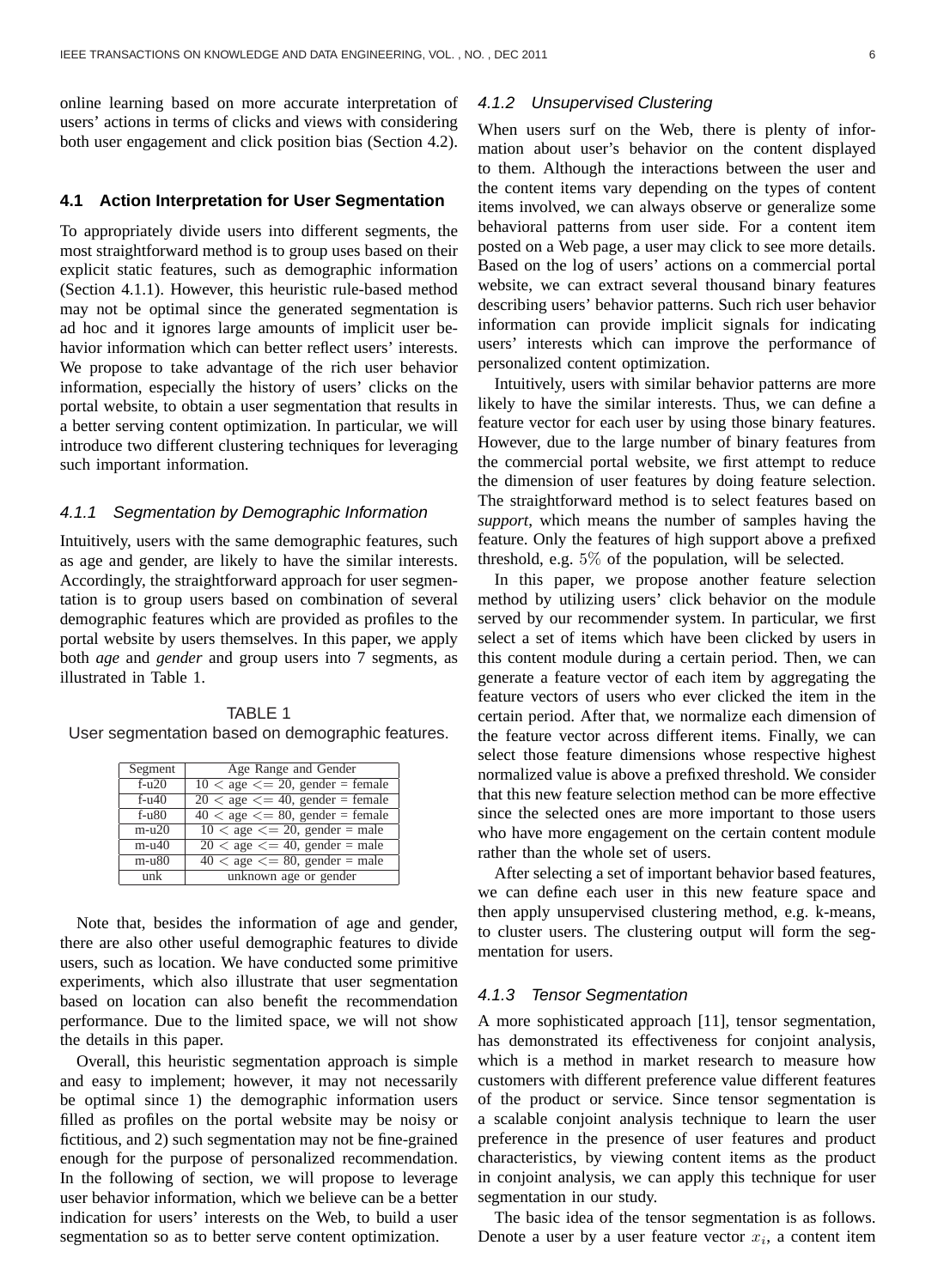online learning based on more accurate interpretation of users' actions in terms of clicks and views with considering both user engagement and click position bias (Section 4.2).

## **4.1 Action Interpretation for User Segmentation**

To appropriately divide users into different segments, the most straightforward method is to group uses based on their explicit static features, such as demographic information (Section 4.1.1). However, this heuristic rule-based method may not be optimal since the generated segmentation is ad hoc and it ignores large amounts of implicit user behavior information which can better reflect users' interests. We propose to take advantage of the rich user behavior information, especially the history of users' clicks on the portal website, to obtain a user segmentation that results in a better serving content optimization. In particular, we will introduce two different clustering techniques for leveraging such important information.

#### 4.1.1 Segmentation by Demographic Information

Intuitively, users with the same demographic features, such as age and gender, are likely to have the similar interests. Accordingly, the straightforward approach for user segmentation is to group users based on combination of several demographic features which are provided as profiles to the portal website by users themselves. In this paper, we apply both *age* and *gender* and group users into 7 segments, as illustrated in Table 1.

TABLE 1 User segmentation based on demographic features.

| Segment | Age Range and Gender                    |
|---------|-----------------------------------------|
| $f-u20$ | $10 <$ age $\leq$ 20, gender = female   |
| $f-u40$ | $20 <$ age $\leq$ = 40, gender = female |
| $f-u80$ | $40 <$ age $\leq$ = 80, gender = female |
| $m-u20$ | $10 <$ age $\leq$ 20, gender = male     |
| m-u40   | $20 <$ age $\leq$ = 40, gender = male   |
| m-u80   | $40 <$ age $\leq$ = 80, gender = male   |
| nnk     | unknown age or gender                   |

Note that, besides the information of age and gender, there are also other useful demographic features to divide users, such as location. We have conducted some primitive experiments, which also illustrate that user segmentation based on location can also benefit the recommendation performance. Due to the limited space, we will not show the details in this paper.

Overall, this heuristic segmentation approach is simple and easy to implement; however, it may not necessarily be optimal since 1) the demographic information users filled as profiles on the portal website may be noisy or fictitious, and 2) such segmentation may not be fine-grained enough for the purpose of personalized recommendation. In the following of section, we will propose to leverage user behavior information, which we believe can be a better indication for users' interests on the Web, to build a user segmentation so as to better serve content optimization.

## 4.1.2 Unsupervised Clustering

When users surf on the Web, there is plenty of information about user's behavior on the content displayed to them. Although the interactions between the user and the content items vary depending on the types of content items involved, we can always observe or generalize some behavioral patterns from user side. For a content item posted on a Web page, a user may click to see more details. Based on the log of users' actions on a commercial portal website, we can extract several thousand binary features describing users' behavior patterns. Such rich user behavior information can provide implicit signals for indicating users' interests which can improve the performance of personalized content optimization.

Intuitively, users with similar behavior patterns are more likely to have the similar interests. Thus, we can define a feature vector for each user by using those binary features. However, due to the large number of binary features from the commercial portal website, we first attempt to reduce the dimension of user features by doing feature selection. The straightforward method is to select features based on *support*, which means the number of samples having the feature. Only the features of high support above a prefixed threshold, e.g. 5% of the population, will be selected.

In this paper, we propose another feature selection method by utilizing users' click behavior on the module served by our recommender system. In particular, we first select a set of items which have been clicked by users in this content module during a certain period. Then, we can generate a feature vector of each item by aggregating the feature vectors of users who ever clicked the item in the certain period. After that, we normalize each dimension of the feature vector across different items. Finally, we can select those feature dimensions whose respective highest normalized value is above a prefixed threshold. We consider that this new feature selection method can be more effective since the selected ones are more important to those users who have more engagement on the certain content module rather than the whole set of users.

After selecting a set of important behavior based features, we can define each user in this new feature space and then apply unsupervised clustering method, e.g. k-means, to cluster users. The clustering output will form the segmentation for users.

## 4.1.3 Tensor Segmentation

A more sophisticated approach [11], tensor segmentation, has demonstrated its effectiveness for conjoint analysis, which is a method in market research to measure how customers with different preference value different features of the product or service. Since tensor segmentation is a scalable conjoint analysis technique to learn the user preference in the presence of user features and product characteristics, by viewing content items as the product in conjoint analysis, we can apply this technique for user segmentation in our study.

The basic idea of the tensor segmentation is as follows. Denote a user by a user feature vector  $x_i$ , a content item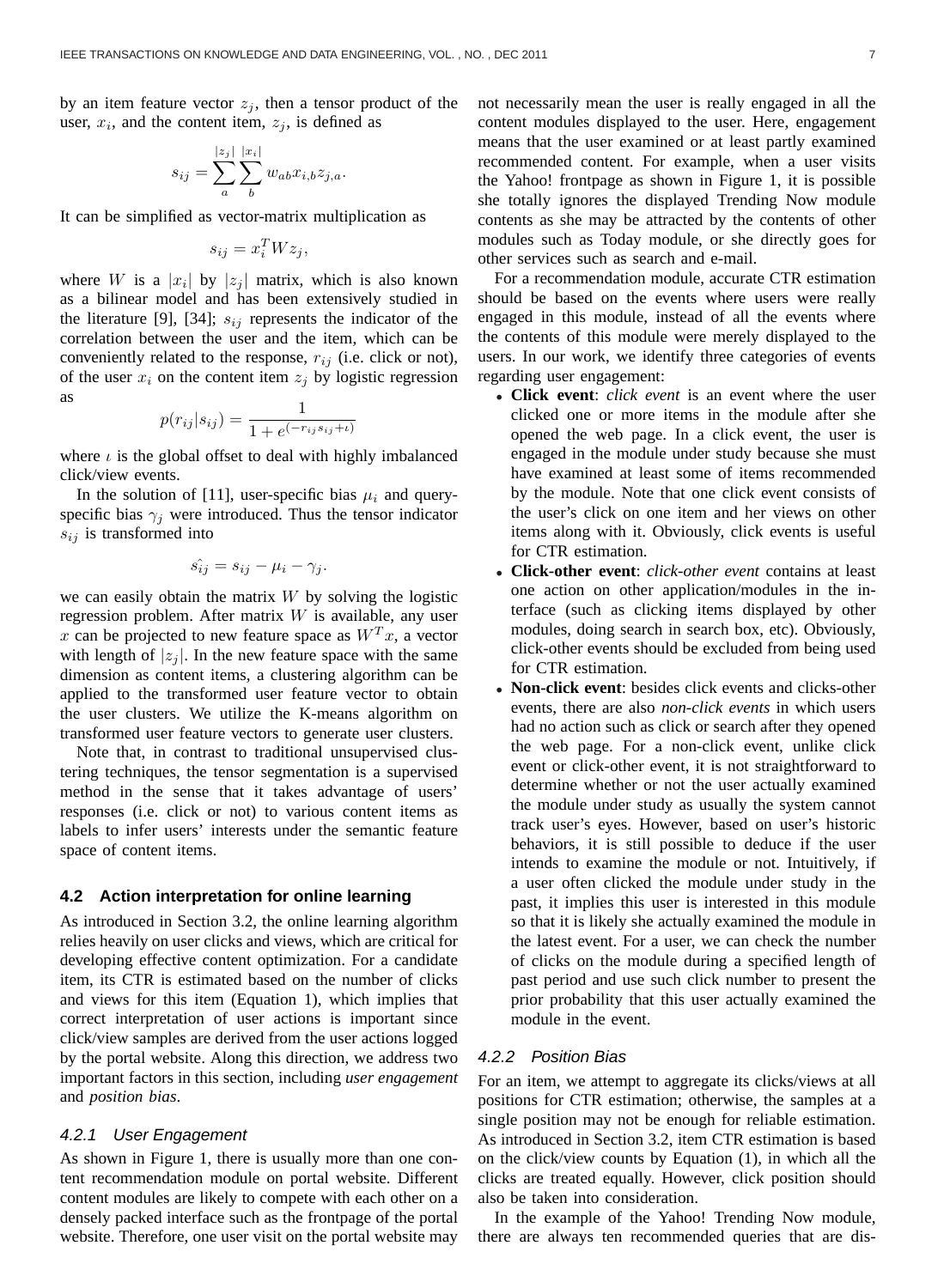by an item feature vector  $z_j$ , then a tensor product of the user,  $x_i$ , and the content item,  $z_j$ , is defined as

$$
s_{ij} = \sum_{a}^{|z_j|} \sum_{b}^{|x_i|} w_{ab} x_{i,b} z_{j,a}.
$$

It can be simplified as vector-matrix multiplication as

$$
s_{ij} = x_i^T W z_j,
$$

where W is a  $|x_i|$  by  $|z_j|$  matrix, which is also known as a bilinear model and has been extensively studied in the literature [9], [34];  $s_{ij}$  represents the indicator of the correlation between the user and the item, which can be conveniently related to the response,  $r_{ij}$  (i.e. click or not), of the user  $x_i$  on the content item  $z_j$  by logistic regression as

$$
p(r_{ij}|s_{ij}) = \frac{1}{1 + e^{(-r_{ij}s_{ij} + \iota)}}
$$

where  $\iota$  is the global offset to deal with highly imbalanced click/view events.

In the solution of [11], user-specific bias  $\mu_i$  and queryspecific bias  $\gamma_i$  were introduced. Thus the tensor indicator  $s_{ij}$  is transformed into

$$
\hat{s_{ij}} = s_{ij} - \mu_i - \gamma_j.
$$

we can easily obtain the matrix  $W$  by solving the logistic regression problem. After matrix  $W$  is available, any user x can be projected to new feature space as  $W<sup>T</sup>x$ , a vector with length of  $|z_i|$ . In the new feature space with the same dimension as content items, a clustering algorithm can be applied to the transformed user feature vector to obtain the user clusters. We utilize the K-means algorithm on transformed user feature vectors to generate user clusters.

Note that, in contrast to traditional unsupervised clustering techniques, the tensor segmentation is a supervised method in the sense that it takes advantage of users' responses (i.e. click or not) to various content items as labels to infer users' interests under the semantic feature space of content items.

#### **4.2 Action interpretation for online learning**

As introduced in Section 3.2, the online learning algorithm relies heavily on user clicks and views, which are critical for developing effective content optimization. For a candidate item, its CTR is estimated based on the number of clicks and views for this item (Equation 1), which implies that correct interpretation of user actions is important since click/view samples are derived from the user actions logged by the portal website. Along this direction, we address two important factors in this section, including *user engagement* and *position bias*.

#### 4.2.1 User Engagement

As shown in Figure 1, there is usually more than one content recommendation module on portal website. Different content modules are likely to compete with each other on a densely packed interface such as the frontpage of the portal website. Therefore, one user visit on the portal website may

not necessarily mean the user is really engaged in all the content modules displayed to the user. Here, engagement means that the user examined or at least partly examined recommended content. For example, when a user visits the Yahoo! frontpage as shown in Figure 1, it is possible she totally ignores the displayed Trending Now module contents as she may be attracted by the contents of other modules such as Today module, or she directly goes for other services such as search and e-mail.

For a recommendation module, accurate CTR estimation should be based on the events where users were really engaged in this module, instead of all the events where the contents of this module were merely displayed to the users. In our work, we identify three categories of events regarding user engagement:

- **Click event**: *click event* is an event where the user clicked one or more items in the module after she opened the web page. In a click event, the user is engaged in the module under study because she must have examined at least some of items recommended by the module. Note that one click event consists of the user's click on one item and her views on other items along with it. Obviously, click events is useful for CTR estimation.
- **Click-other event**: *click-other event* contains at least one action on other application/modules in the interface (such as clicking items displayed by other modules, doing search in search box, etc). Obviously, click-other events should be excluded from being used for CTR estimation.
- **Non-click event**: besides click events and clicks-other events, there are also *non-click events* in which users had no action such as click or search after they opened the web page. For a non-click event, unlike click event or click-other event, it is not straightforward to determine whether or not the user actually examined the module under study as usually the system cannot track user's eyes. However, based on user's historic behaviors, it is still possible to deduce if the user intends to examine the module or not. Intuitively, if a user often clicked the module under study in the past, it implies this user is interested in this module so that it is likely she actually examined the module in the latest event. For a user, we can check the number of clicks on the module during a specified length of past period and use such click number to present the prior probability that this user actually examined the module in the event.

## 4.2.2 Position Bias

For an item, we attempt to aggregate its clicks/views at all positions for CTR estimation; otherwise, the samples at a single position may not be enough for reliable estimation. As introduced in Section 3.2, item CTR estimation is based on the click/view counts by Equation (1), in which all the clicks are treated equally. However, click position should also be taken into consideration.

In the example of the Yahoo! Trending Now module, there are always ten recommended queries that are dis-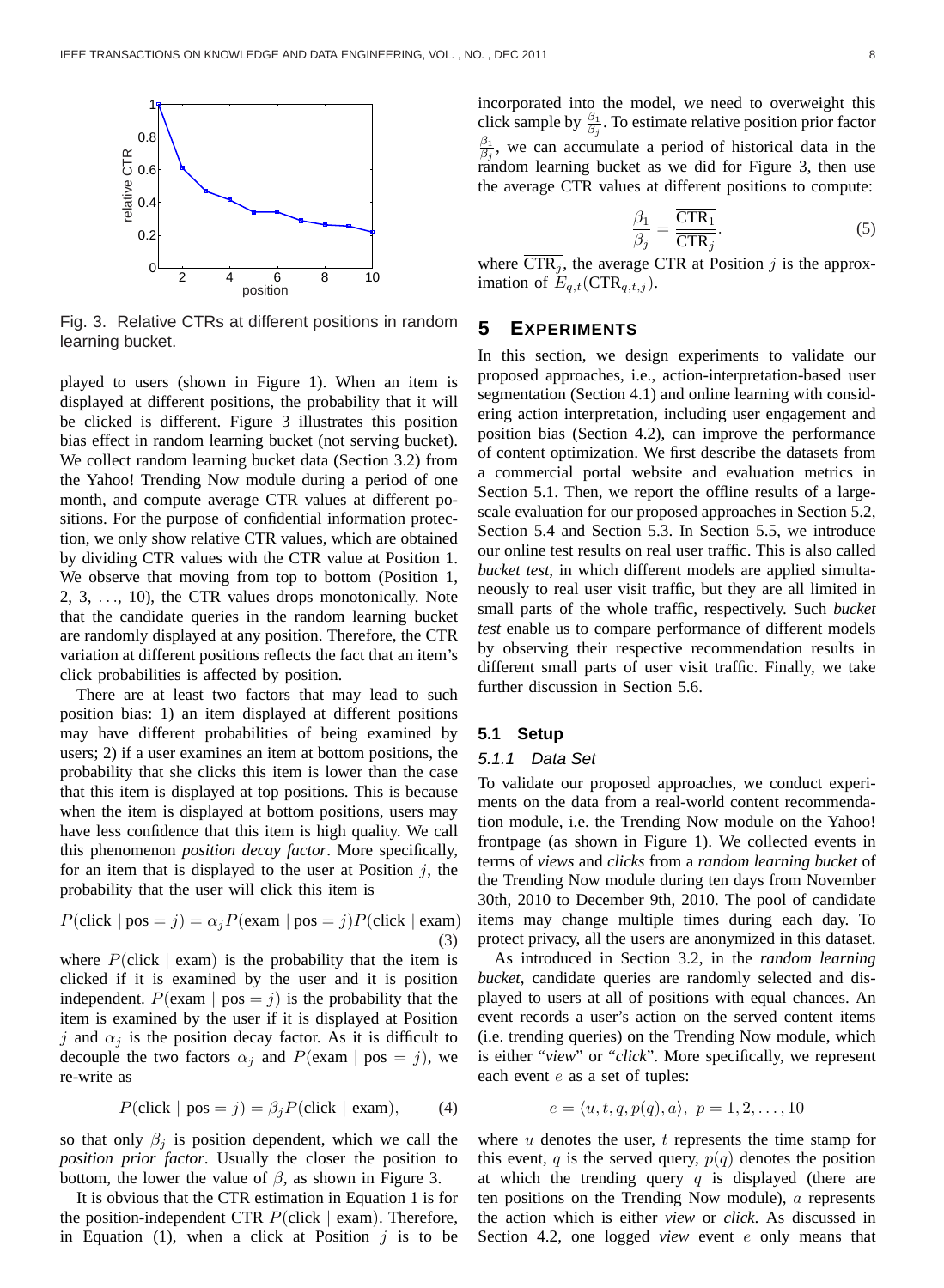

Fig. 3. Relative CTRs at different positions in random learning bucket.

played to users (shown in Figure 1). When an item is displayed at different positions, the probability that it will be clicked is different. Figure 3 illustrates this position bias effect in random learning bucket (not serving bucket). We collect random learning bucket data (Section 3.2) from the Yahoo! Trending Now module during a period of one month, and compute average CTR values at different positions. For the purpose of confidential information protection, we only show relative CTR values, which are obtained by dividing CTR values with the CTR value at Position 1. We observe that moving from top to bottom (Position 1, 2, 3, . . ., 10), the CTR values drops monotonically. Note that the candidate queries in the random learning bucket are randomly displayed at any position. Therefore, the CTR variation at different positions reflects the fact that an item's click probabilities is affected by position.

There are at least two factors that may lead to such position bias: 1) an item displayed at different positions may have different probabilities of being examined by users; 2) if a user examines an item at bottom positions, the probability that she clicks this item is lower than the case that this item is displayed at top positions. This is because when the item is displayed at bottom positions, users may have less confidence that this item is high quality. We call this phenomenon *position decay factor*. More specifically, for an item that is displayed to the user at Position  $j$ , the probability that the user will click this item is

$$
P(\text{click} \mid \text{pos} = j) = \alpha_j P(\text{exam} \mid \text{pos} = j) P(\text{click} \mid \text{exam})
$$
\n(3)

where  $P(\text{click} \mid \text{exam})$  is the probability that the item is clicked if it is examined by the user and it is position independent.  $P(\text{exam} | \text{pos} = j)$  is the probability that the item is examined by the user if it is displayed at Position j and  $\alpha_i$  is the position decay factor. As it is difficult to decouple the two factors  $\alpha_j$  and  $P(\text{exam} \mid \text{pos} = j)$ , we re-write as

$$
P(\text{click} \mid \text{pos} = j) = \beta_j P(\text{click} \mid \text{exam}), \quad (4)
$$

so that only  $\beta_j$  is position dependent, which we call the *position prior factor*. Usually the closer the position to bottom, the lower the value of  $\beta$ , as shown in Figure 3.

It is obvious that the CTR estimation in Equation 1 is for the position-independent CTR  $P(\text{click} \mid \text{exam})$ . Therefore, in Equation (1), when a click at Position  $i$  is to be

incorporated into the model, we need to overweight this click sample by  $\frac{\beta_1}{\beta_j}$ . To estimate relative position prior factor  $\frac{\beta_1}{\beta_j}$ , we can accumulate a period of historical data in the random learning bucket as we did for Figure 3, then use the average CTR values at different positions to compute:

$$
\frac{\beta_1}{\beta_j} = \frac{\overline{\text{CTR}_1}}{\overline{\text{CTR}_j}}.\tag{5}
$$

where  $\overline{CTR}_i$ , the average CTR at Position j is the approximation of  $E_{q,t}(\text{CTR}_{q,t,j}).$ 

# **5 EXPERIMENTS**

In this section, we design experiments to validate our proposed approaches, i.e., action-interpretation-based user segmentation (Section 4.1) and online learning with considering action interpretation, including user engagement and position bias (Section 4.2), can improve the performance of content optimization. We first describe the datasets from a commercial portal website and evaluation metrics in Section 5.1. Then, we report the offline results of a largescale evaluation for our proposed approaches in Section 5.2, Section 5.4 and Section 5.3. In Section 5.5, we introduce our online test results on real user traffic. This is also called *bucket test*, in which different models are applied simultaneously to real user visit traffic, but they are all limited in small parts of the whole traffic, respectively. Such *bucket test* enable us to compare performance of different models by observing their respective recommendation results in different small parts of user visit traffic. Finally, we take further discussion in Section 5.6.

#### **5.1 Setup**

## 5.1.1 Data Set

To validate our proposed approaches, we conduct experiments on the data from a real-world content recommendation module, i.e. the Trending Now module on the Yahoo! frontpage (as shown in Figure 1). We collected events in terms of *views* and *clicks* from a *random learning bucket* of the Trending Now module during ten days from November 30th, 2010 to December 9th, 2010. The pool of candidate items may change multiple times during each day. To protect privacy, all the users are anonymized in this dataset.

As introduced in Section 3.2, in the *random learning bucket*, candidate queries are randomly selected and displayed to users at all of positions with equal chances. An event records a user's action on the served content items (i.e. trending queries) on the Trending Now module, which is either "*view*" or "*click*". More specifically, we represent each event *e* as a set of tuples:

$$
e = \langle u, t, q, p(q), a \rangle, \ p = 1, 2, \dots, 10
$$

where  $u$  denotes the user,  $t$  represents the time stamp for this event, q is the served query,  $p(q)$  denotes the position at which the trending query  $q$  is displayed (there are ten positions on the Trending Now module),  $a$  represents the action which is either *view* or *click*. As discussed in Section 4.2, one logged *view* event *e* only means that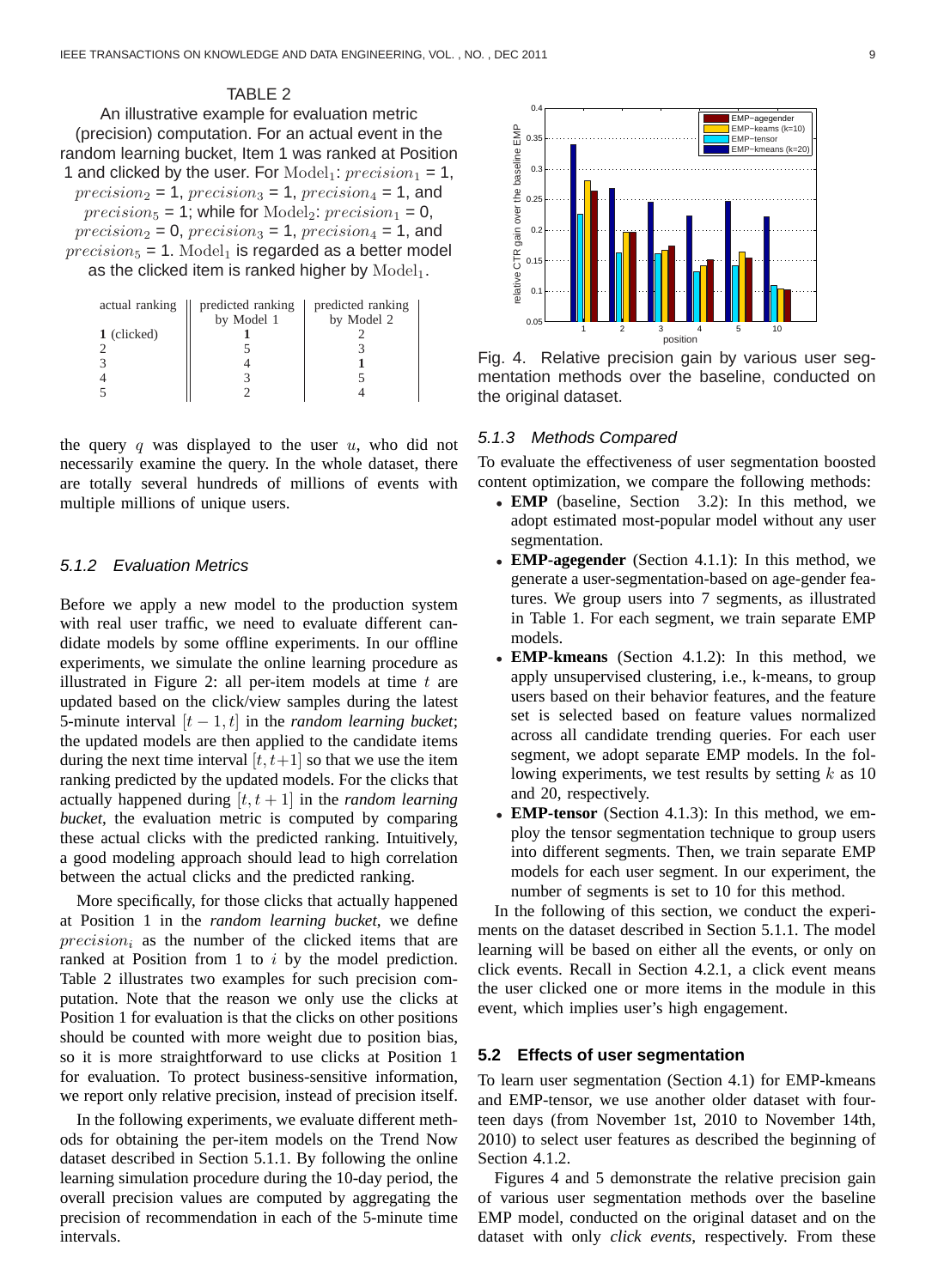## TABLE<sub>2</sub>

An illustrative example for evaluation metric (precision) computation. For an actual event in the random learning bucket, Item 1 was ranked at Position 1 and clicked by the user. For  $Model_1: precision_1 = 1$ ,  $precision_2 = 1$ ,  $precision_3 = 1$ ,  $precision_4 = 1$ , and  $precision_5 = 1$ ; while for  $Model_2: precision_1 = 0$ ,  $precision_2 = 0$ ,  $precision_3 = 1$ ,  $precision_4 = 1$ , and  $precision_5 = 1$ . Model<sub>1</sub> is regarded as a better model as the clicked item is ranked higher by  $Model_1$ .

| actual ranking | predicted ranking<br>by Model 1 | predicted ranking<br>by Model 2 |
|----------------|---------------------------------|---------------------------------|
| 1 (clicked)    |                                 |                                 |
|                |                                 |                                 |
|                |                                 |                                 |
|                |                                 |                                 |
|                |                                 |                                 |
|                |                                 |                                 |

the query q was displayed to the user  $u$ , who did not necessarily examine the query. In the whole dataset, there are totally several hundreds of millions of events with multiple millions of unique users.

#### 5.1.2 Evaluation Metrics

Before we apply a new model to the production system with real user traffic, we need to evaluate different candidate models by some offline experiments. In our offline experiments, we simulate the online learning procedure as illustrated in Figure 2: all per-item models at time  $t$  are updated based on the click/view samples during the latest 5-minute interval  $[t - 1, t]$  in the *random learning bucket*; the updated models are then applied to the candidate items during the next time interval  $[t, t+1]$  so that we use the item ranking predicted by the updated models. For the clicks that actually happened during  $[t, t + 1]$  in the *random learning bucket*, the evaluation metric is computed by comparing these actual clicks with the predicted ranking. Intuitively, a good modeling approach should lead to high correlation between the actual clicks and the predicted ranking. 1 civistical  $\frac{1}{2}$  civistical  $\frac{1}{2}$   $\frac{1}{3}$   $\frac{1}{2}$   $\frac{1}{3}$  Fig. 4. Relative precision gain by varies.<br>
the uptery q was slapslyed to the user  $v_x$  who did not  $\frac{5}{2}$ . The minimizal change of the contin

More specifically, for those clicks that actually happened at Position 1 in the *random learning bucket*, we define  $precision_i$  as the number of the clicked items that are ranked at Position from 1 to i by the model prediction. Table 2 illustrates two examples for such precision computation. Note that the reason we only use the clicks at Position 1 for evaluation is that the clicks on other positions should be counted with more weight due to position bias, so it is more straightforward to use clicks at Position 1 for evaluation. To protect business-sensitive information, we report only relative precision, instead of precision itself.

In the following experiments, we evaluate different methods for obtaining the per-item models on the Trend Now dataset described in Section 5.1.1. By following the online learning simulation procedure during the 10-day period, the overall precision values are computed by aggregating the precision of recommendation in each of the 5-minute time



Fig. 4. Relative precision gain by various user segmentation methods over the baseline, conducted on the original dataset.

#### 5.1.3 Methods Compared

To evaluate the effectiveness of user segmentation boosted content optimization, we compare the following methods:

- **EMP** (baseline, Section 3.2): In this method, we adopt estimated most-popular model without any user segmentation.
- **EMP-agegender** (Section 4.1.1): In this method, we generate a user-segmentation-based on age-gender features. We group users into 7 segments, as illustrated in Table 1. For each segment, we train separate EMP models.
- **EMP-kmeans** (Section 4.1.2): In this method, we apply unsupervised clustering, i.e., k-means, to group users based on their behavior features, and the feature set is selected based on feature values normalized across all candidate trending queries. For each user segment, we adopt separate EMP models. In the following experiments, we test results by setting  $k$  as 10 and 20, respectively.
- **EMP-tensor** (Section 4.1.3): In this method, we employ the tensor segmentation technique to group users into different segments. Then, we train separate EMP models for each user segment. In our experiment, the number of segments is set to 10 for this method.

In the following of this section, we conduct the experiments on the dataset described in Section 5.1.1. The model learning will be based on either all the events, or only on click events. Recall in Section 4.2.1, a click event means the user clicked one or more items in the module in this event, which implies user's high engagement.

#### **5.2 Effects of user segmentation**

To learn user segmentation (Section 4.1) for EMP-kmeans and EMP-tensor, we use another older dataset with fourteen days (from November 1st, 2010 to November 14th, 2010) to select user features as described the beginning of Section 4.1.2.

Figures 4 and 5 demonstrate the relative precision gain of various user segmentation methods over the baseline EMP model, conducted on the original dataset and on the dataset with only *click events*, respectively. From these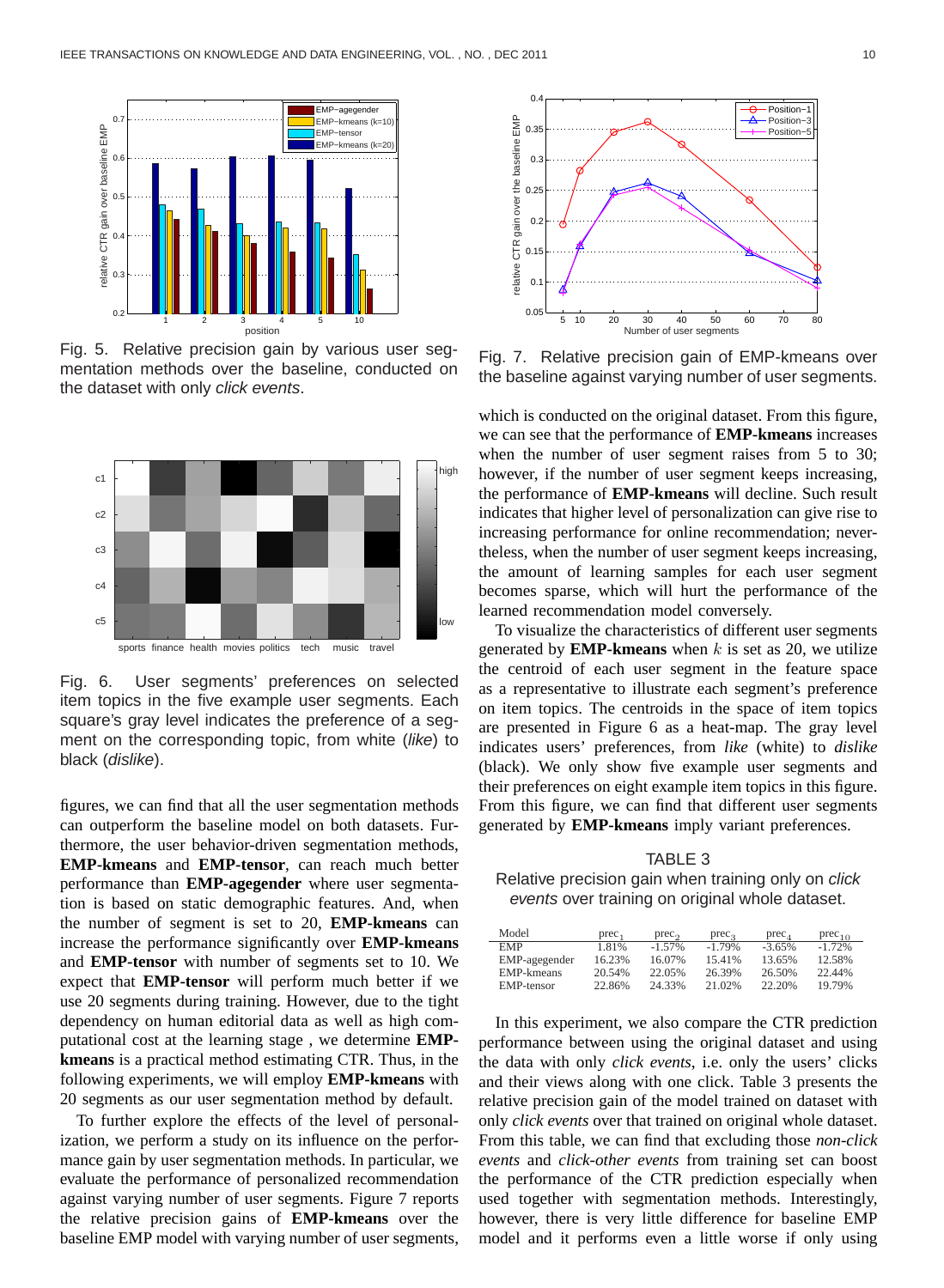

Fig. 5. Relative precision gain by various user segmentation methods over the baseline, conducted on the dataset with only click events.



Fig. 6. User segments' preferences on selected item topics in the five example user segments. Each square's gray level indicates the preference of a segment on the corresponding topic, from white (like) to black (dislike).

figures, we can find that all the user segmentation methods can outperform the baseline model on both datasets. Furthermore, the user behavior-driven segmentation methods, **EMP-kmeans** and **EMP-tensor**, can reach much better performance than **EMP-agegender** where user segmentation is based on static demographic features. And, when the number of segment is set to 20, **EMP-kmeans** can increase the performance significantly over **EMP-kmeans** and **EMP-tensor** with number of segments set to 10. We expect that **EMP-tensor** will perform much better if we use 20 segments during training. However, due to the tight dependency on human editorial data as well as high computational cost at the learning stage , we determine **EMPkmeans** is a practical method estimating CTR. Thus, in the following experiments, we will employ **EMP-kmeans** with 20 segments as our user segmentation method by default. Eq. 6. Realt is the second of the sequence of the baseline and the set of user segments of the baseline pair and the set of the set of the set of the set of the set of the set of the set of the set of the set of the set o

To further explore the effects of the level of personalization, we perform a study on its influence on the performance gain by user segmentation methods. In particular, we evaluate the performance of personalized recommendation against varying number of user segments. Figure 7 reports the relative precision gains of **EMP-kmeans** over the



Fig. 7. Relative precision gain of EMP-kmeans over the baseline against varying number of user segments.

which is conducted on the original dataset. From this figure, we can see that the performance of **EMP-kmeans** increases when the number of user segment raises from 5 to 30; however, if the number of user segment keeps increasing, the performance of **EMP-kmeans** will decline. Such result indicates that higher level of personalization can give rise to increasing performance for online recommendation; nevertheless, when the number of user segment keeps increasing, the amount of learning samples for each user segment becomes sparse, which will hurt the performance of the learned recommendation model conversely.

To visualize the characteristics of different user segments generated by **EMP-kmeans** when  $k$  is set as 20, we utilize the centroid of each user segment in the feature space as a representative to illustrate each segment's preference on item topics. The centroids in the space of item topics are presented in Figure 6 as a heat-map. The gray level indicates users' preferences, from *like* (white) to *dislike* (black). We only show five example user segments and their preferences on eight example item topics in this figure. From this figure, we can find that different user segments generated by **EMP-kmeans** imply variant preferences.

TABLE 3 Relative precision gain when training only on click events over training on original whole dataset.

| Model             | $prec_{1}$ | $prec_{2}$ | $prec_{2}$ | $prec_A$  | $prec_{10}$ |
|-------------------|------------|------------|------------|-----------|-------------|
| <b>EMP</b>        | 1.81%      | $-1.57\%$  | $-1.79\%$  | $-3.65\%$ | $-1.72%$    |
| EMP-agegender     | 16.23%     | 16.07%     | 15.41%     | 13.65%    | 12.58%      |
| <b>EMP-kmeans</b> | 20.54%     | 22.05%     | 26.39%     | 26.50%    | 22.44%      |
| EMP-tensor        | 22.86%     | 24.33%     | 21.02%     | 22.20%    | 19.79%      |

In this experiment, we also compare the CTR prediction performance between using the original dataset and using the data with only *click events*, i.e. only the users' clicks and their views along with one click. Table 3 presents the relative precision gain of the model trained on dataset with only *click events* over that trained on original whole dataset. From this table, we can find that excluding those *non-click events* and *click-other events* from training set can boost the performance of the CTR prediction especially when used together with segmentation methods. Interestingly, however, there is very little difference for baseline EMP model and it performs even a little worse if only using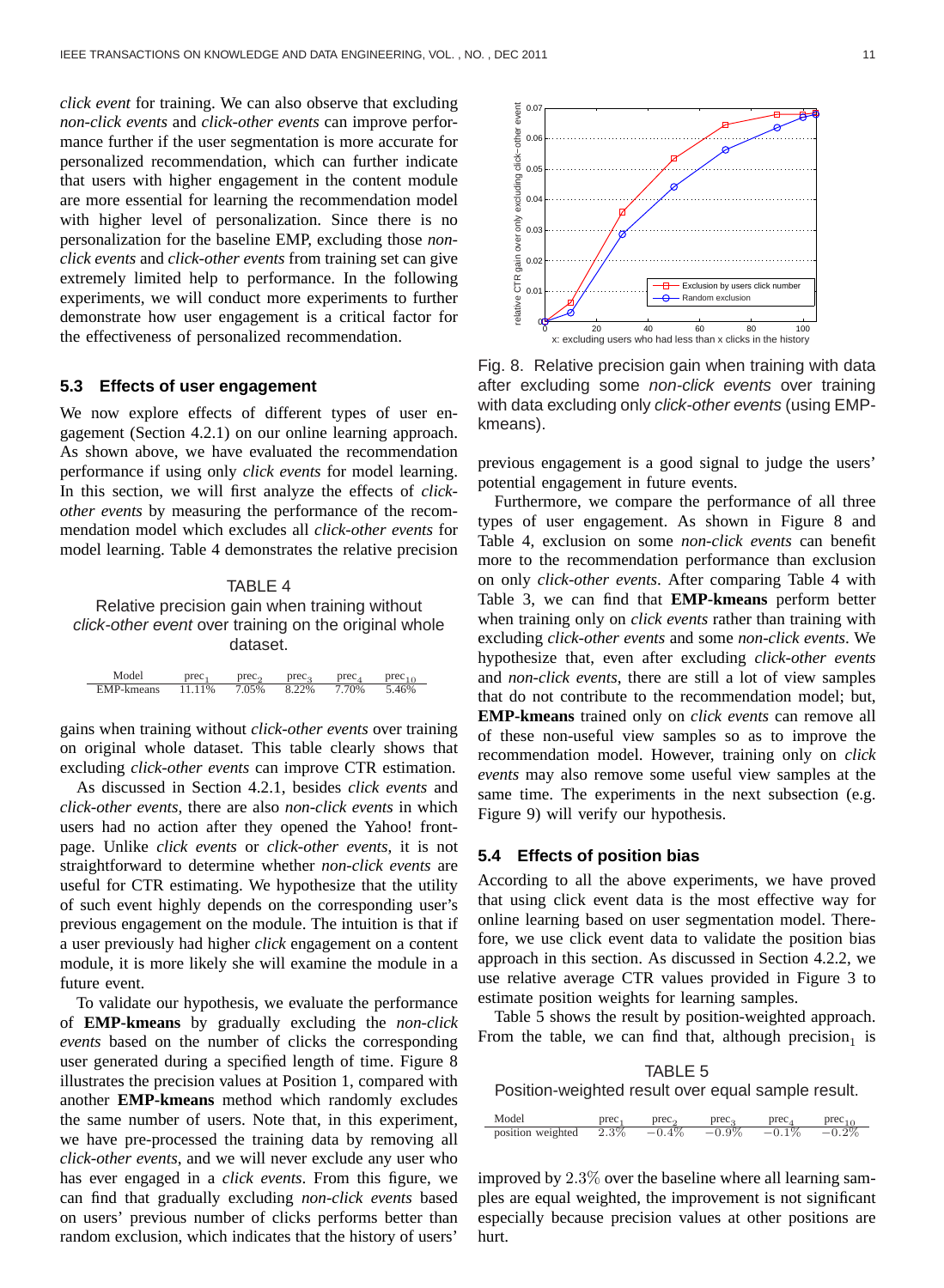*click event* for training. We can also observe that excluding *non-click events* and *click-other events* can improve performance further if the user segmentation is more accurate for personalized recommendation, which can further indicate that users with higher engagement in the content module are more essential for learning the recommendation model with higher level of personalization. Since there is no personalization for the baseline EMP, excluding those *nonclick events* and *click-other events* from training set can give extremely limited help to performance. In the following experiments, we will conduct more experiments to further demonstrate how user engagement is a critical factor for the effectiveness of personalized recommendation.

### **5.3 Effects of user engagement**

We now explore effects of different types of user engagement (Section 4.2.1) on our online learning approach. As shown above, we have evaluated the recommendation performance if using only *click events* for model learning. In this section, we will first analyze the effects of *clickother events* by measuring the performance of the recommendation model which excludes all *click-other events* for model learning. Table 4 demonstrates the relative precision



| Model      | $prec_{1}$ | $prec_{\alpha}$ | $prec_{2}$ | $prec_A$ | $prec_{10}$ |
|------------|------------|-----------------|------------|----------|-------------|
| EMP-kmeans | 11.11%     | 7.05%           | 8.22%      | 7.70%    | 5.46%       |

gains when training without *click-other events* over training on original whole dataset. This table clearly shows that excluding *click-other events* can improve CTR estimation.

As discussed in Section 4.2.1, besides *click events* and *click-other events*, there are also *non-click events* in which users had no action after they opened the Yahoo! frontpage. Unlike *click events* or *click-other events*, it is not straightforward to determine whether *non-click events* are useful for CTR estimating. We hypothesize that the utility of such event highly depends on the corresponding user's previous engagement on the module. The intuition is that if a user previously had higher *click* engagement on a content module, it is more likely she will examine the module in a future event.

To validate our hypothesis, we evaluate the performance of **EMP-kmeans** by gradually excluding the *non-click events* based on the number of clicks the corresponding user generated during a specified length of time. Figure 8 illustrates the precision values at Position 1, compared with another **EMP-kmeans** method which randomly excludes the same number of users. Note that, in this experiment, we have pre-processed the training data by removing all *click-other events*, and we will never exclude any user who has ever engaged in a *click events*. From this figure, we can find that gradually excluding *non-click events* based on users' previous number of clicks performs better than



Fig. 8. Relative precision gain when training with data after excluding some non-click events over training with data excluding only click-other events (using EMPkmeans).

previous engagement is a good signal to judge the users' potential engagement in future events.

the effectiveness of personalized recommendation.<br> **Eq.** 8. Relative operation with the actual operation and the containing spin when training and the containing or the containing or the syle of different types of user ca Furthermore, we compare the performance of all three types of user engagement. As shown in Figure 8 and Table 4, exclusion on some *non-click events* can benefit more to the recommendation performance than exclusion on only *click-other events*. After comparing Table 4 with Table 3, we can find that **EMP-kmeans** perform better when training only on *click events* rather than training with excluding *click-other events* and some *non-click events*. We hypothesize that, even after excluding *click-other events* and *non-click events*, there are still a lot of view samples that do not contribute to the recommendation model; but, **EMP-kmeans** trained only on *click events* can remove all of these non-useful view samples so as to improve the recommendation model. However, training only on *click events* may also remove some useful view samples at the same time. The experiments in the next subsection (e.g. Figure 9) will verify our hypothesis.

## **5.4 Effects of position bias**

According to all the above experiments, we have proved that using click event data is the most effective way for online learning based on user segmentation model. Therefore, we use click event data to validate the position bias approach in this section. As discussed in Section 4.2.2, we use relative average CTR values provided in Figure 3 to estimate position weights for learning samples.

Table 5 shows the result by position-weighted approach. From the table, we can find that, although precision $<sub>1</sub>$  is</sub>

TABLE 5 Position-weighted result over equal sample result.

| Model             | $_{\rm prec}$ | $prec_{\alpha}$ | $prec_{\alpha}$ | $prec_A$ | $prec_{10}$ |
|-------------------|---------------|-----------------|-----------------|----------|-------------|
| position weighted | $2.3\%$       | $-0.4\%$        | $-0.9\%$        | $-0.1\%$ | $-0.2\%$    |

improved by 2.3% over the baseline where all learning samples are equal weighted, the improvement is not significant especially because precision values at other positions are hurt.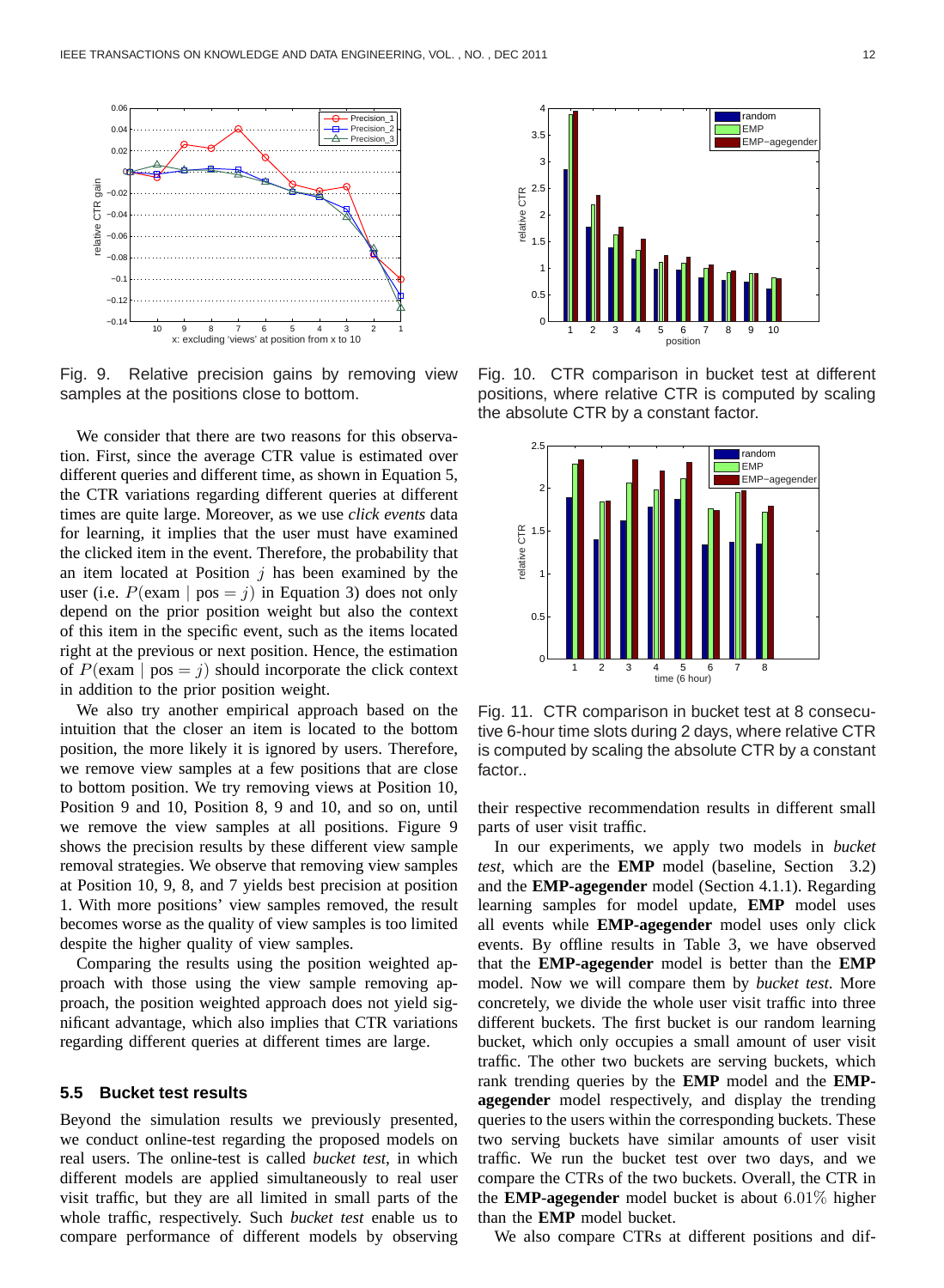

Fig. 9. Relative precision gains by removing view samples at the positions close to bottom.

We consider that there are two reasons for this observation. First, since the average CTR value is estimated over different queries and different time, as shown in Equation 5, the CTR variations regarding different queries at different times are quite large. Moreover, as we use *click events* data for learning, it implies that the user must have examined the clicked item in the event. Therefore, the probability that an item located at Position  $j$  has been examined by the user (i.e.  $P(\text{exam} \mid \text{pos} = j)$  in Equation 3) does not only depend on the prior position weight but also the context of this item in the specific event, such as the items located right at the previous or next position. Hence, the estimation of  $P(\text{exam} \mid \text{pos} = j)$  should incorporate the click context in addition to the prior position weight.

We also try another empirical approach based on the intuition that the closer an item is located to the bottom position, the more likely it is ignored by users. Therefore, we remove view samples at a few positions that are close to bottom position. We try removing views at Position 10, Position 9 and 10, Position 8, 9 and 10, and so on, until we remove the view samples at all positions. Figure 9 shows the precision results by these different view sample removal strategies. We observe that removing view samples at Position 10, 9, 8, and 7 yields best precision at position 1. With more positions' view samples removed, the result becomes worse as the quality of view samples is too limited despite the higher quality of view samples.

Comparing the results using the position weighted approach with those using the view sample removing approach, the position weighted approach does not yield significant advantage, which also implies that CTR variations regarding different queries at different times are large.

#### **5.5 Bucket test results**

Beyond the simulation results we previously presented, we conduct online-test regarding the proposed models on real users. The online-test is called *bucket test*, in which different models are applied simultaneously to real user visit traffic, but they are all limited in small parts of the whole traffic, respectively. Such *bucket test* enable us to



Fig. 10. CTR comparison in bucket test at different positions, where relative CTR is computed by scaling the absolute CTR by a constant factor.



Fig. 11. CTR comparison in bucket test at 8 consecutive 6-hour time slots during 2 days, where relative CTR is computed by scaling the absolute CTR by a constant factor..

their respective recommendation results in different small parts of user visit traffic.

Fig. 3. The state is seen to assume that the comparison of the state of the state of the state performance of the state of the state of the state of the state of the state of the state of the state of the state of the sta In our experiments, we apply two models in *bucket test*, which are the **EMP** model (baseline, Section 3.2) and the **EMP-agegender** model (Section 4.1.1). Regarding learning samples for model update, **EMP** model uses all events while **EMP-agegender** model uses only click events. By offline results in Table 3, we have observed that the **EMP-agegender** model is better than the **EMP** model. Now we will compare them by *bucket test*. More concretely, we divide the whole user visit traffic into three different buckets. The first bucket is our random learning bucket, which only occupies a small amount of user visit traffic. The other two buckets are serving buckets, which rank trending queries by the **EMP** model and the **EMPagegender** model respectively, and display the trending queries to the users within the corresponding buckets. These two serving buckets have similar amounts of user visit traffic. We run the bucket test over two days, and we compare the CTRs of the two buckets. Overall, the CTR in the **EMP-agegender** model bucket is about 6.01% higher than the **EMP** model bucket.

We also compare CTRs at different positions and dif-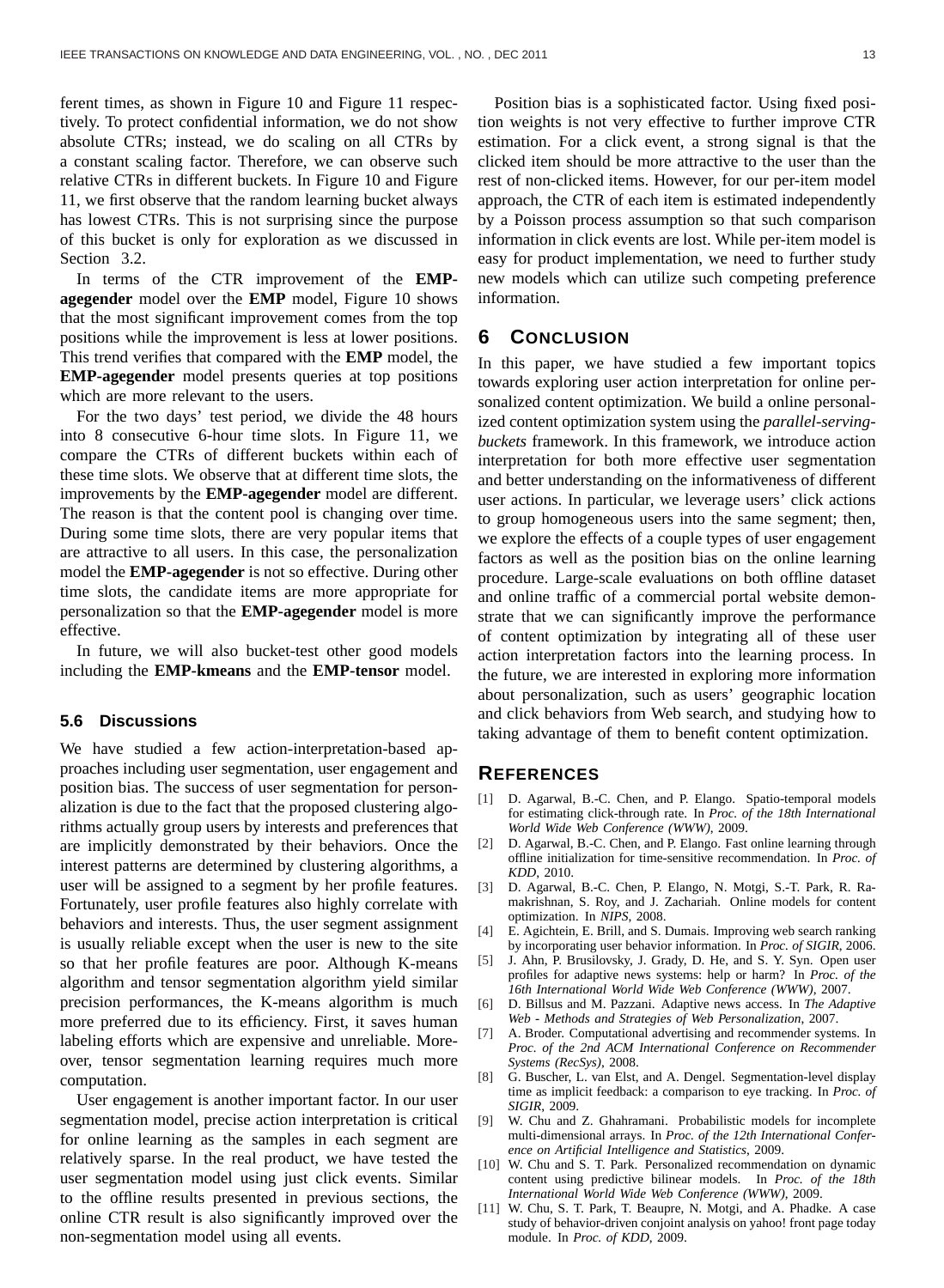ferent times, as shown in Figure 10 and Figure 11 respectively. To protect confidential information, we do not show absolute CTRs; instead, we do scaling on all CTRs by a constant scaling factor. Therefore, we can observe such relative CTRs in different buckets. In Figure 10 and Figure 11, we first observe that the random learning bucket always has lowest CTRs. This is not surprising since the purpose of this bucket is only for exploration as we discussed in Section 3.2.

In terms of the CTR improvement of the **EMPagegender** model over the **EMP** model, Figure 10 shows that the most significant improvement comes from the top positions while the improvement is less at lower positions. This trend verifies that compared with the **EMP** model, the **EMP-agegender** model presents queries at top positions which are more relevant to the users.

For the two days' test period, we divide the 48 hours into 8 consecutive 6-hour time slots. In Figure 11, we compare the CTRs of different buckets within each of these time slots. We observe that at different time slots, the improvements by the **EMP-agegender** model are different. The reason is that the content pool is changing over time. During some time slots, there are very popular items that are attractive to all users. In this case, the personalization model the **EMP-agegender** is not so effective. During other time slots, the candidate items are more appropriate for personalization so that the **EMP-agegender** model is more effective.

In future, we will also bucket-test other good models including the **EMP-kmeans** and the **EMP-tensor** model.

#### **5.6 Discussions**

We have studied a few action-interpretation-based approaches including user segmentation, user engagement and position bias. The success of user segmentation for personalization is due to the fact that the proposed clustering algorithms actually group users by interests and preferences that are implicitly demonstrated by their behaviors. Once the interest patterns are determined by clustering algorithms, a user will be assigned to a segment by her profile features. Fortunately, user profile features also highly correlate with behaviors and interests. Thus, the user segment assignment is usually reliable except when the user is new to the site so that her profile features are poor. Although K-means algorithm and tensor segmentation algorithm yield similar precision performances, the K-means algorithm is much more preferred due to its efficiency. First, it saves human labeling efforts which are expensive and unreliable. Moreover, tensor segmentation learning requires much more computation.

User engagement is another important factor. In our user segmentation model, precise action interpretation is critical for online learning as the samples in each segment are relatively sparse. In the real product, we have tested the user segmentation model using just click events. Similar to the offline results presented in previous sections, the online CTR result is also significantly improved over the non-segmentation model using all events.

Position bias is a sophisticated factor. Using fixed position weights is not very effective to further improve CTR estimation. For a click event, a strong signal is that the clicked item should be more attractive to the user than the rest of non-clicked items. However, for our per-item model approach, the CTR of each item is estimated independently by a Poisson process assumption so that such comparison information in click events are lost. While per-item model is easy for product implementation, we need to further study new models which can utilize such competing preference information.

## **6 CONCLUSION**

In this paper, we have studied a few important topics towards exploring user action interpretation for online personalized content optimization. We build a online personalized content optimization system using the *parallel-servingbuckets* framework. In this framework, we introduce action interpretation for both more effective user segmentation and better understanding on the informativeness of different user actions. In particular, we leverage users' click actions to group homogeneous users into the same segment; then, we explore the effects of a couple types of user engagement factors as well as the position bias on the online learning procedure. Large-scale evaluations on both offline dataset and online traffic of a commercial portal website demonstrate that we can significantly improve the performance of content optimization by integrating all of these user action interpretation factors into the learning process. In the future, we are interested in exploring more information about personalization, such as users' geographic location and click behaviors from Web search, and studying how to taking advantage of them to benefit content optimization.

# **REFERENCES**

- [1] D. Agarwal, B.-C. Chen, and P. Elango. Spatio-temporal models for estimating click-through rate. In *Proc. of the 18th International World Wide Web Conference (WWW)*, 2009.
- [2] D. Agarwal, B.-C. Chen, and P. Elango. Fast online learning through offline initialization for time-sensitive recommendation. In *Proc. of KDD*, 2010.
- [3] D. Agarwal, B.-C. Chen, P. Elango, N. Motgi, S.-T. Park, R. Ramakrishnan, S. Roy, and J. Zachariah. Online models for content optimization. In *NIPS*, 2008.
- [4] E. Agichtein, E. Brill, and S. Dumais. Improving web search ranking by incorporating user behavior information. In *Proc. of SIGIR*, 2006.
- [5] J. Ahn, P. Brusilovsky, J. Grady, D. He, and S. Y. Syn. Open user profiles for adaptive news systems: help or harm? In *Proc. of the 16th International World Wide Web Conference (WWW)*, 2007.
- [6] D. Billsus and M. Pazzani. Adaptive news access. In *The Adaptive Web - Methods and Strategies of Web Personalization*, 2007.
- [7] A. Broder. Computational advertising and recommender systems. In *Proc. of the 2nd ACM International Conference on Recommender Systems (RecSys)*, 2008.
- [8] G. Buscher, L. van Elst, and A. Dengel. Segmentation-level display time as implicit feedback: a comparison to eye tracking. In *Proc. of SIGIR*, 2009.
- [9] W. Chu and Z. Ghahramani. Probabilistic models for incomplete multi-dimensional arrays. In *Proc. of the 12th International Conference on Artificial Intelligence and Statistics*, 2009.
- [10] W. Chu and S. T. Park. Personalized recommendation on dynamic content using predictive bilinear models. In *Proc. of the 18th International World Wide Web Conference (WWW)*, 2009.
- [11] W. Chu, S. T. Park, T. Beaupre, N. Motgi, and A. Phadke. A case study of behavior-driven conjoint analysis on yahoo! front page today module. In *Proc. of KDD*, 2009.